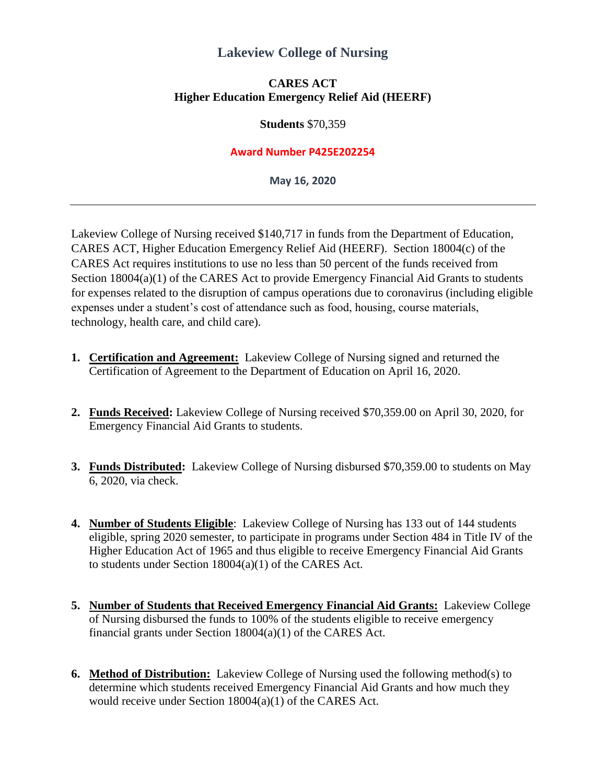# **Lakeview College of Nursing**

### **CARES ACT Higher Education Emergency Relief Aid (HEERF)**

#### **Students** \$70,359

#### **Award Number P425E202254**

**May 16, 2020**

Lakeview College of Nursing received \$140,717 in funds from the Department of Education, CARES ACT, Higher Education Emergency Relief Aid (HEERF). Section 18004(c) of the CARES Act requires institutions to use no less than 50 percent of the funds received from Section 18004(a)(1) of the CARES Act to provide Emergency Financial Aid Grants to students for expenses related to the disruption of campus operations due to coronavirus (including eligible expenses under a student's cost of attendance such as food, housing, course materials, technology, health care, and child care).

- **1. Certification and Agreement:** Lakeview College of Nursing signed and returned the Certification of Agreement to the Department of Education on April 16, 2020.
- **2. Funds Received:** Lakeview College of Nursing received \$70,359.00 on April 30, 2020, for Emergency Financial Aid Grants to students.
- **3. Funds Distributed:** Lakeview College of Nursing disbursed \$70,359.00 to students on May 6, 2020, via check.
- **4. Number of Students Eligible**: Lakeview College of Nursing has 133 out of 144 students eligible, spring 2020 semester, to participate in programs under Section 484 in Title IV of the Higher Education Act of 1965 and thus eligible to receive Emergency Financial Aid Grants to students under Section 18004(a)(1) of the CARES Act.
- **5. Number of Students that Received Emergency Financial Aid Grants:** Lakeview College of Nursing disbursed the funds to 100% of the students eligible to receive emergency financial grants under Section 18004(a)(1) of the CARES Act.
- **6. Method of Distribution:** Lakeview College of Nursing used the following method(s) to determine which students received Emergency Financial Aid Grants and how much they would receive under Section 18004(a)(1) of the CARES Act.